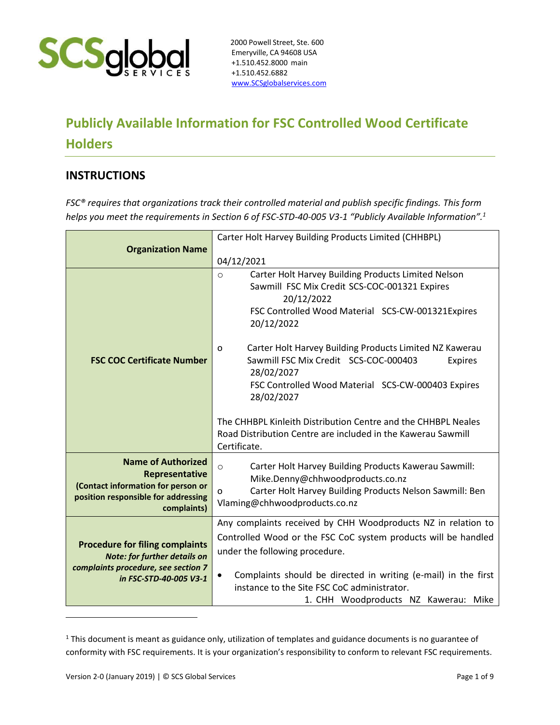

## **Publicly Available Information for FSC Controlled Wood Certificate Holders**

## **INSTRUCTIONS**

*FSC® requires that organizations track their controlled material and publish specific findings. This form helps you meet the requirements in Section 6 of FSC-STD-40-005 V3-1 "Publicly Available Information".<sup>1</sup>*

|                                                               | Carter Holt Harvey Building Products Limited (CHHBPL)                       |
|---------------------------------------------------------------|-----------------------------------------------------------------------------|
| <b>Organization Name</b>                                      |                                                                             |
|                                                               | 04/12/2021                                                                  |
|                                                               | Carter Holt Harvey Building Products Limited Nelson<br>$\circ$              |
|                                                               | Sawmill FSC Mix Credit SCS-COC-001321 Expires                               |
|                                                               | 20/12/2022                                                                  |
|                                                               | FSC Controlled Wood Material SCS-CW-001321Expires                           |
|                                                               | 20/12/2022                                                                  |
|                                                               | Carter Holt Harvey Building Products Limited NZ Kawerau<br>o                |
| <b>FSC COC Certificate Number</b>                             | Sawmill FSC Mix Credit SCS-COC-000403<br><b>Expires</b>                     |
|                                                               | 28/02/2027                                                                  |
|                                                               | FSC Controlled Wood Material SCS-CW-000403 Expires                          |
|                                                               | 28/02/2027                                                                  |
|                                                               | The CHHBPL Kinleith Distribution Centre and the CHHBPL Neales               |
|                                                               | Road Distribution Centre are included in the Kawerau Sawmill                |
|                                                               | Certificate.                                                                |
| <b>Name of Authorized</b>                                     | Carter Holt Harvey Building Products Kawerau Sawmill:<br>$\circ$            |
| Representative                                                | Mike.Denny@chhwoodproducts.co.nz                                            |
| (Contact information for person or                            | Carter Holt Harvey Building Products Nelson Sawmill: Ben<br>o               |
| position responsible for addressing<br>complaints)            | Vlaming@chhwoodproducts.co.nz                                               |
|                                                               | Any complaints received by CHH Woodproducts NZ in relation to               |
|                                                               | Controlled Wood or the FSC CoC system products will be handled              |
| <b>Procedure for filing complaints</b>                        | under the following procedure.                                              |
| <b>Note: for further details on</b>                           |                                                                             |
| complaints procedure, see section 7<br>in FSC-STD-40-005 V3-1 | Complaints should be directed in writing (e-mail) in the first<br>$\bullet$ |
|                                                               | instance to the Site FSC CoC administrator.                                 |
|                                                               | 1. CHH Woodproducts NZ Kawerau: Mike                                        |

<sup>&</sup>lt;sup>1</sup> This document is meant as guidance only, utilization of templates and guidance documents is no guarantee of conformity with FSC requirements. It is your organization's responsibility to conform to relevant FSC requirements.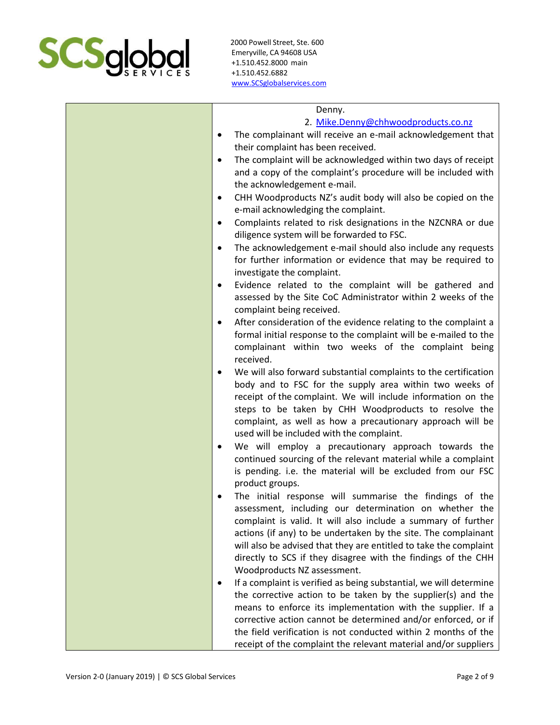

| Denny.<br>2. Mike.Denny@chhwoodproducts.co.nz<br>The complainant will receive an e-mail acknowledgement that<br>$\bullet$<br>their complaint has been received.<br>The complaint will be acknowledged within two days of receipt<br>$\bullet$<br>and a copy of the complaint's procedure will be included with<br>the acknowledgement e-mail.<br>CHH Woodproducts NZ's audit body will also be copied on the<br>$\bullet$<br>e-mail acknowledging the complaint.<br>Complaints related to risk designations in the NZCNRA or due<br>$\bullet$<br>diligence system will be forwarded to FSC.<br>The acknowledgement e-mail should also include any requests<br>$\bullet$<br>for further information or evidence that may be required to<br>investigate the complaint.<br>Evidence related to the complaint will be gathered and<br>$\bullet$<br>assessed by the Site CoC Administrator within 2 weeks of the<br>complaint being received.<br>After consideration of the evidence relating to the complaint a<br>$\bullet$<br>formal initial response to the complaint will be e-mailed to the<br>complainant within two weeks of the complaint being<br>received.<br>We will also forward substantial complaints to the certification<br>$\bullet$<br>body and to FSC for the supply area within two weeks of<br>receipt of the complaint. We will include information on the<br>steps to be taken by CHH Woodproducts to resolve the<br>complaint, as well as how a precautionary approach will be<br>used will be included with the complaint.<br>We will employ a precautionary approach towards the<br>$\bullet$<br>continued sourcing of the relevant material while a complaint<br>is pending. i.e. the material will be excluded from our FSC<br>product groups.<br>The initial response will summarise the findings of the<br>assessment, including our determination on whether the<br>complaint is valid. It will also include a summary of further<br>actions (if any) to be undertaken by the site. The complainant |
|--------------------------------------------------------------------------------------------------------------------------------------------------------------------------------------------------------------------------------------------------------------------------------------------------------------------------------------------------------------------------------------------------------------------------------------------------------------------------------------------------------------------------------------------------------------------------------------------------------------------------------------------------------------------------------------------------------------------------------------------------------------------------------------------------------------------------------------------------------------------------------------------------------------------------------------------------------------------------------------------------------------------------------------------------------------------------------------------------------------------------------------------------------------------------------------------------------------------------------------------------------------------------------------------------------------------------------------------------------------------------------------------------------------------------------------------------------------------------------------------------------------------------------------------------------------------------------------------------------------------------------------------------------------------------------------------------------------------------------------------------------------------------------------------------------------------------------------------------------------------------------------------------------------------------------------------------------------------------------------------------------------------------------|
| will also be advised that they are entitled to take the complaint<br>directly to SCS if they disagree with the findings of the CHH                                                                                                                                                                                                                                                                                                                                                                                                                                                                                                                                                                                                                                                                                                                                                                                                                                                                                                                                                                                                                                                                                                                                                                                                                                                                                                                                                                                                                                                                                                                                                                                                                                                                                                                                                                                                                                                                                             |
| Woodproducts NZ assessment.<br>If a complaint is verified as being substantial, we will determine<br>$\bullet$<br>the corrective action to be taken by the supplier(s) and the<br>means to enforce its implementation with the supplier. If a<br>corrective action cannot be determined and/or enforced, or if<br>the field verification is not conducted within 2 months of the<br>receipt of the complaint the relevant material and/or suppliers                                                                                                                                                                                                                                                                                                                                                                                                                                                                                                                                                                                                                                                                                                                                                                                                                                                                                                                                                                                                                                                                                                                                                                                                                                                                                                                                                                                                                                                                                                                                                                            |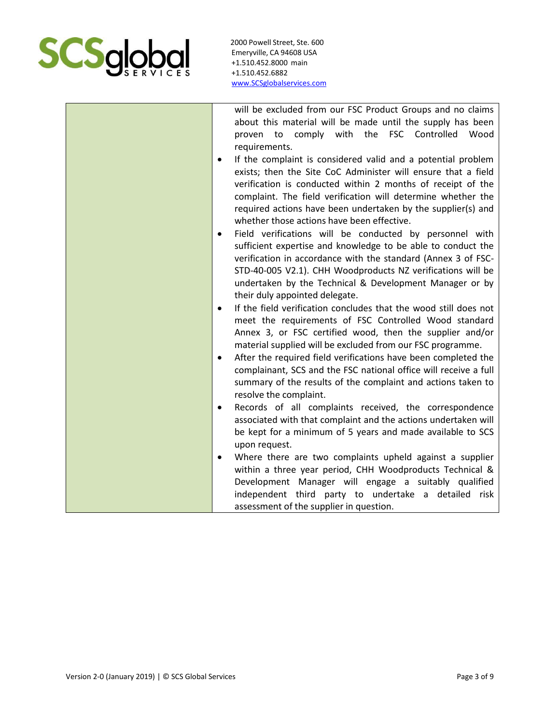

| will be excluded from our FSC Product Groups and no claims                    |
|-------------------------------------------------------------------------------|
| about this material will be made until the supply has been                    |
| proven to comply with the FSC Controlled Wood                                 |
| requirements.                                                                 |
| If the complaint is considered valid and a potential problem                  |
| exists; then the Site CoC Administer will ensure that a field                 |
| verification is conducted within 2 months of receipt of the                   |
| complaint. The field verification will determine whether the                  |
| required actions have been undertaken by the supplier(s) and                  |
| whether those actions have been effective.                                    |
| Field verifications will be conducted by personnel with<br>٠                  |
| sufficient expertise and knowledge to be able to conduct the                  |
| verification in accordance with the standard (Annex 3 of FSC-                 |
| STD-40-005 V2.1). CHH Woodproducts NZ verifications will be                   |
|                                                                               |
| undertaken by the Technical & Development Manager or by                       |
| their duly appointed delegate.                                                |
| If the field verification concludes that the wood still does not<br>$\bullet$ |
| meet the requirements of FSC Controlled Wood standard                         |
| Annex 3, or FSC certified wood, then the supplier and/or                      |
| material supplied will be excluded from our FSC programme.                    |
| After the required field verifications have been completed the<br>$\bullet$   |
| complainant, SCS and the FSC national office will receive a full              |
| summary of the results of the complaint and actions taken to                  |
| resolve the complaint.                                                        |
| Records of all complaints received, the correspondence<br>$\bullet$           |
| associated with that complaint and the actions undertaken will                |
| be kept for a minimum of 5 years and made available to SCS                    |
| upon request.                                                                 |
| Where there are two complaints upheld against a supplier<br>$\bullet$         |
| within a three year period, CHH Woodproducts Technical &                      |
| Development Manager will engage a suitably qualified                          |
| independent third party to undertake a detailed risk                          |
| assessment of the supplier in question.                                       |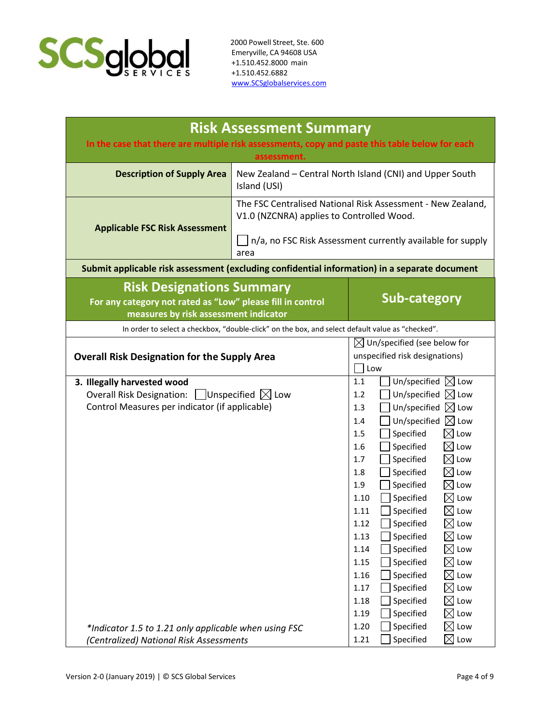

| assessment.<br><b>Description of Supply Area</b><br>New Zealand - Central North Island (CNI) and Upper South<br>Island (USI)<br>The FSC Centralised National Risk Assessment - New Zealand,<br>V1.0 (NZCNRA) applies to Controlled Wood.<br><b>Applicable FSC Risk Assessment</b><br>n/a, no FSC Risk Assessment currently available for supply<br>area<br>Submit applicable risk assessment (excluding confidential information) in a separate document<br><b>Risk Designations Summary</b><br><b>Sub-category</b><br>For any category not rated as "Low" please fill in control<br>measures by risk assessment indicator<br>In order to select a checkbox, "double-click" on the box, and select default value as "checked".<br>$\boxtimes$ Un/specified (see below for<br>unspecified risk designations)<br><b>Overall Risk Designation for the Supply Area</b><br>Low<br>Un/specified $\boxtimes$ Low<br>1.1<br>3. Illegally harvested wood<br><b>Overall Risk Designation:</b><br>Unspecified $\boxtimes$ Low<br>Un/specified $\boxtimes$ Low<br>1.2<br>Control Measures per indicator (if applicable)<br>Un/specified $\boxtimes$ Low<br>1.3<br>Un/specified $\boxtimes$ Low<br>1.4<br>Specified<br>$\boxtimes$ Low<br>1.5 | <b>Risk Assessment Summary</b>                                                                 |                                     |  |  |
|----------------------------------------------------------------------------------------------------------------------------------------------------------------------------------------------------------------------------------------------------------------------------------------------------------------------------------------------------------------------------------------------------------------------------------------------------------------------------------------------------------------------------------------------------------------------------------------------------------------------------------------------------------------------------------------------------------------------------------------------------------------------------------------------------------------------------------------------------------------------------------------------------------------------------------------------------------------------------------------------------------------------------------------------------------------------------------------------------------------------------------------------------------------------------------------------------------------------------------|------------------------------------------------------------------------------------------------|-------------------------------------|--|--|
|                                                                                                                                                                                                                                                                                                                                                                                                                                                                                                                                                                                                                                                                                                                                                                                                                                                                                                                                                                                                                                                                                                                                                                                                                                  | In the case that there are multiple risk assessments, copy and paste this table below for each |                                     |  |  |
|                                                                                                                                                                                                                                                                                                                                                                                                                                                                                                                                                                                                                                                                                                                                                                                                                                                                                                                                                                                                                                                                                                                                                                                                                                  |                                                                                                |                                     |  |  |
|                                                                                                                                                                                                                                                                                                                                                                                                                                                                                                                                                                                                                                                                                                                                                                                                                                                                                                                                                                                                                                                                                                                                                                                                                                  |                                                                                                |                                     |  |  |
|                                                                                                                                                                                                                                                                                                                                                                                                                                                                                                                                                                                                                                                                                                                                                                                                                                                                                                                                                                                                                                                                                                                                                                                                                                  |                                                                                                |                                     |  |  |
|                                                                                                                                                                                                                                                                                                                                                                                                                                                                                                                                                                                                                                                                                                                                                                                                                                                                                                                                                                                                                                                                                                                                                                                                                                  |                                                                                                |                                     |  |  |
|                                                                                                                                                                                                                                                                                                                                                                                                                                                                                                                                                                                                                                                                                                                                                                                                                                                                                                                                                                                                                                                                                                                                                                                                                                  |                                                                                                |                                     |  |  |
|                                                                                                                                                                                                                                                                                                                                                                                                                                                                                                                                                                                                                                                                                                                                                                                                                                                                                                                                                                                                                                                                                                                                                                                                                                  |                                                                                                |                                     |  |  |
|                                                                                                                                                                                                                                                                                                                                                                                                                                                                                                                                                                                                                                                                                                                                                                                                                                                                                                                                                                                                                                                                                                                                                                                                                                  |                                                                                                |                                     |  |  |
| Specified<br>1.7<br>$\boxtimes$ Low<br>Specified<br>$\boxtimes$ Low<br>1.8<br>Specified<br>$\boxtimes$ Low<br>1.9<br>Specified<br>$\boxtimes$ Low<br>1.10<br>Specified<br>$\boxtimes$ Low<br>1.11<br>$\boxtimes$ Low<br>Specified<br>1.12<br>$\boxtimes$ Low<br>Specified<br>1.13<br>1.14<br>Specified<br>Low<br>$\boxtimes$<br>$\boxtimes$ Low<br>Specified<br>1.15<br>Specified<br>Low<br>1.16<br>$\boxtimes$<br>1.17<br>Specified<br>$\boxtimes$ Low<br>Specified<br>⊠<br>1.18<br>Low<br>1.19<br>Specified<br>$\boxtimes$<br>Low<br>1.20<br>Specified<br>Low<br>⊠<br>*Indicator 1.5 to 1.21 only applicable when using FSC                                                                                                                                                                                                                                                                                                                                                                                                                                                                                                                                                                                                    |                                                                                                | Specified<br>$\boxtimes$ Low<br>1.6 |  |  |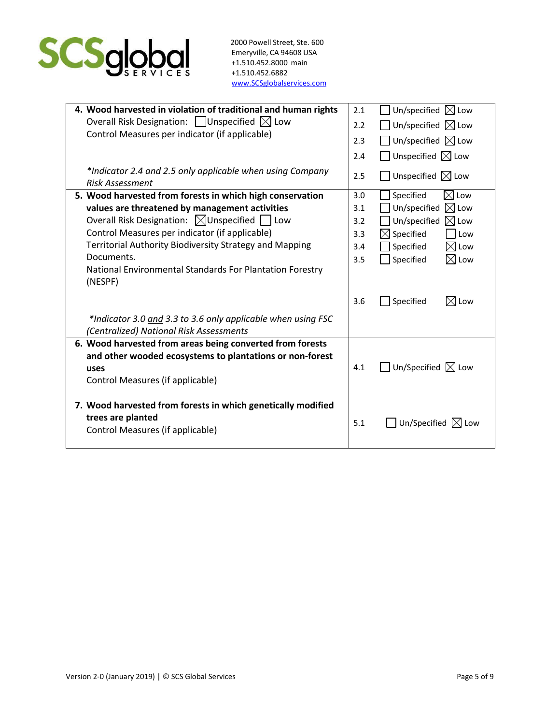

| 4. Wood harvested in violation of traditional and human rights                                          | 2.1 | Un/specified $\boxtimes$ Low    |
|---------------------------------------------------------------------------------------------------------|-----|---------------------------------|
| Overall Risk Designation: $\Box$ Unspecified $\boxtimes$ Low                                            | 2.2 | Un/specified $\boxtimes$ Low    |
| Control Measures per indicator (if applicable)                                                          | 2.3 | Un/specified $\boxtimes$ Low    |
|                                                                                                         | 2.4 | Unspecified $\boxtimes$ Low     |
| *Indicator 2.4 and 2.5 only applicable when using Company<br><b>Risk Assessment</b>                     | 2.5 | Unspecified $\boxtimes$ Low     |
| 5. Wood harvested from forests in which high conservation                                               | 3.0 | $\boxtimes$ Low<br>Specified    |
| values are threatened by management activities                                                          | 3.1 | Un/specified<br>$\boxtimes$ Low |
| Overall Risk Designation: ⊠Unspecified   Low                                                            | 3.2 | Un/specified<br>$\boxtimes$ Low |
| Control Measures per indicator (if applicable)                                                          | 3.3 | $\boxtimes$ Specified<br>Low    |
| Territorial Authority Biodiversity Strategy and Mapping                                                 | 3.4 | Specified<br>$\boxtimes$ Low    |
| Documents.                                                                                              | 3.5 | Specified<br>$\boxtimes$ Low    |
| National Environmental Standards For Plantation Forestry<br>(NESPF)                                     |     |                                 |
|                                                                                                         | 3.6 | Specified<br>$\boxtimes$ Low    |
| *Indicator 3.0 and 3.3 to 3.6 only applicable when using FSC<br>(Centralized) National Risk Assessments |     |                                 |
| 6. Wood harvested from areas being converted from forests                                               |     |                                 |
| and other wooded ecosystems to plantations or non-forest                                                |     |                                 |
| uses                                                                                                    | 4.1 | Un/Specified $\boxtimes$ Low    |
| Control Measures (if applicable)                                                                        |     |                                 |
| 7. Wood harvested from forests in which genetically modified                                            |     |                                 |
| trees are planted                                                                                       |     |                                 |
| Control Measures (if applicable)                                                                        | 5.1 | Un/Specified $\boxtimes$ Low    |
|                                                                                                         |     |                                 |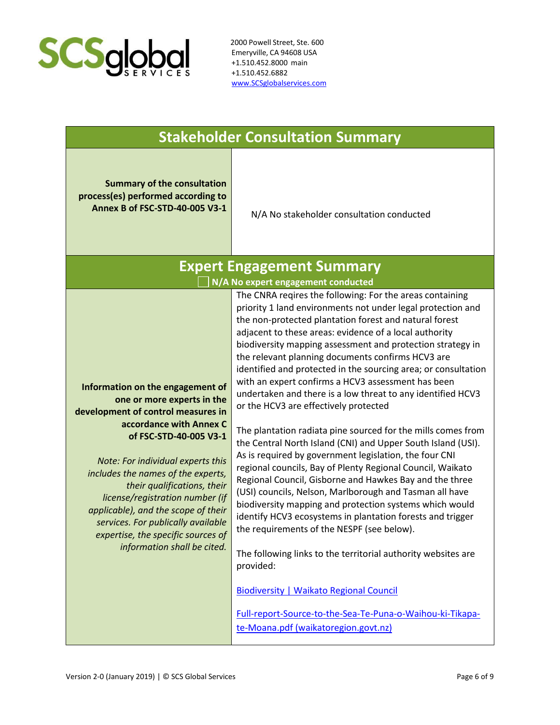

|                                                                                                                                                                                                                                                                                                                                                                                                                                                          | <b>Stakeholder Consultation Summary</b>                                                                                                                                                                                                                                                                                                                                                                                                                                                                                                                                                                                                                                                                                                                                                                                                                                                                                                                                                                                                                                                                                                                                                                                                                                                                                                                                                                                        |
|----------------------------------------------------------------------------------------------------------------------------------------------------------------------------------------------------------------------------------------------------------------------------------------------------------------------------------------------------------------------------------------------------------------------------------------------------------|--------------------------------------------------------------------------------------------------------------------------------------------------------------------------------------------------------------------------------------------------------------------------------------------------------------------------------------------------------------------------------------------------------------------------------------------------------------------------------------------------------------------------------------------------------------------------------------------------------------------------------------------------------------------------------------------------------------------------------------------------------------------------------------------------------------------------------------------------------------------------------------------------------------------------------------------------------------------------------------------------------------------------------------------------------------------------------------------------------------------------------------------------------------------------------------------------------------------------------------------------------------------------------------------------------------------------------------------------------------------------------------------------------------------------------|
| <b>Summary of the consultation</b><br>process(es) performed according to<br>Annex B of FSC-STD-40-005 V3-1                                                                                                                                                                                                                                                                                                                                               | N/A No stakeholder consultation conducted                                                                                                                                                                                                                                                                                                                                                                                                                                                                                                                                                                                                                                                                                                                                                                                                                                                                                                                                                                                                                                                                                                                                                                                                                                                                                                                                                                                      |
|                                                                                                                                                                                                                                                                                                                                                                                                                                                          | <b>Expert Engagement Summary</b>                                                                                                                                                                                                                                                                                                                                                                                                                                                                                                                                                                                                                                                                                                                                                                                                                                                                                                                                                                                                                                                                                                                                                                                                                                                                                                                                                                                               |
| Information on the engagement of<br>one or more experts in the<br>development of control measures in<br>accordance with Annex C<br>of FSC-STD-40-005 V3-1<br>Note: For individual experts this<br>includes the names of the experts,<br>their qualifications, their<br>license/registration number (if<br>applicable), and the scope of their<br>services. For publically available<br>expertise, the specific sources of<br>information shall be cited. | N/A No expert engagement conducted<br>The CNRA reqires the following: For the areas containing<br>priority 1 land environments not under legal protection and<br>the non-protected plantation forest and natural forest<br>adjacent to these areas: evidence of a local authority<br>biodiversity mapping assessment and protection strategy in<br>the relevant planning documents confirms HCV3 are<br>identified and protected in the sourcing area; or consultation<br>with an expert confirms a HCV3 assessment has been<br>undertaken and there is a low threat to any identified HCV3<br>or the HCV3 are effectively protected<br>The plantation radiata pine sourced for the mills comes from<br>the Central North Island (CNI) and Upper South Island (USI).<br>As is required by government legislation, the four CNI<br>regional councils, Bay of Plenty Regional Council, Waikato<br>Regional Council, Gisborne and Hawkes Bay and the three<br>(USI) councils, Nelson, Marlborough and Tasman all have<br>biodiversity mapping and protection systems which would<br>identify HCV3 ecosystems in plantation forests and trigger<br>the requirements of the NESPF (see below).<br>The following links to the territorial authority websites are<br>provided:<br><b>Biodiversity   Waikato Regional Council</b><br>Full-report-Source-to-the-Sea-Te-Puna-o-Waihou-ki-Tikapa-<br>te-Moana.pdf (waikatoregion.govt.nz) |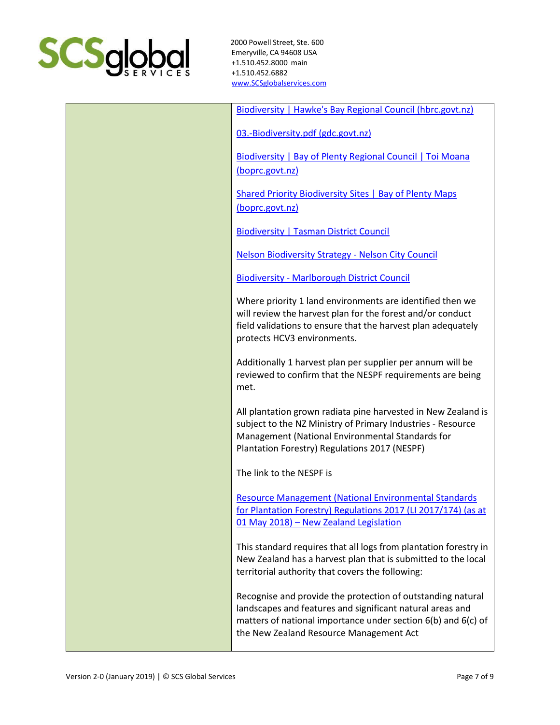

| Biodiversity   Hawke's Bay Regional Council (hbrc.govt.nz)                                                                                                                                                                           |
|--------------------------------------------------------------------------------------------------------------------------------------------------------------------------------------------------------------------------------------|
| 03.-Biodiversity.pdf (gdc.govt.nz)                                                                                                                                                                                                   |
| <b>Biodiversity   Bay of Plenty Regional Council   Toi Moana</b><br>(boprc.govt.nz)                                                                                                                                                  |
| <b>Shared Priority Biodiversity Sites   Bay of Plenty Maps</b><br>(boprc.govt.nz)                                                                                                                                                    |
| <b>Biodiversity   Tasman District Council</b>                                                                                                                                                                                        |
| <b>Nelson Biodiversity Strategy - Nelson City Council</b>                                                                                                                                                                            |
| <b>Biodiversity - Marlborough District Council</b>                                                                                                                                                                                   |
| Where priority 1 land environments are identified then we<br>will review the harvest plan for the forest and/or conduct<br>field validations to ensure that the harvest plan adequately<br>protects HCV3 environments.               |
| Additionally 1 harvest plan per supplier per annum will be<br>reviewed to confirm that the NESPF requirements are being<br>met.                                                                                                      |
| All plantation grown radiata pine harvested in New Zealand is<br>subject to the NZ Ministry of Primary Industries - Resource<br>Management (National Environmental Standards for<br>Plantation Forestry) Regulations 2017 (NESPF)    |
| The link to the NESPF is                                                                                                                                                                                                             |
| <b>Resource Management (National Environmental Standards</b><br>for Plantation Forestry) Regulations 2017 (LI 2017/174) (as at<br>01 May 2018) - New Zealand Legislation                                                             |
| This standard requires that all logs from plantation forestry in<br>New Zealand has a harvest plan that is submitted to the local<br>territorial authority that covers the following:                                                |
| Recognise and provide the protection of outstanding natural<br>landscapes and features and significant natural areas and<br>matters of national importance under section 6(b) and 6(c) of<br>the New Zealand Resource Management Act |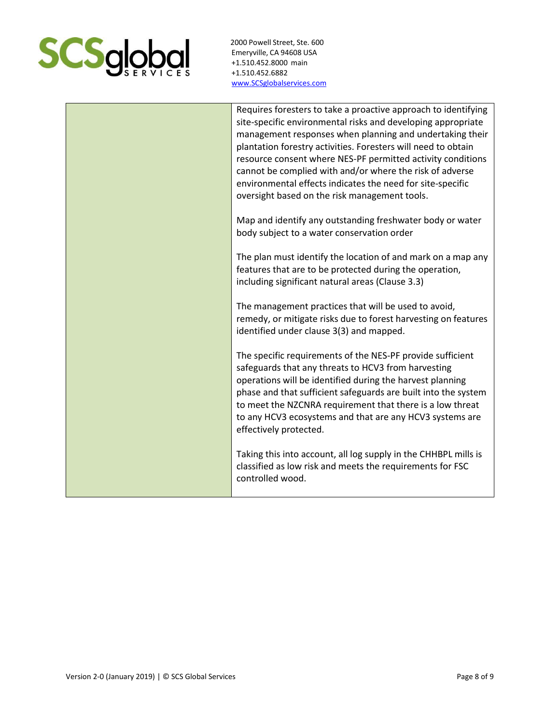

| Requires foresters to take a proactive approach to identifying<br>site-specific environmental risks and developing appropriate<br>management responses when planning and undertaking their<br>plantation forestry activities. Foresters will need to obtain<br>resource consent where NES-PF permitted activity conditions<br>cannot be complied with and/or where the risk of adverse<br>environmental effects indicates the need for site-specific<br>oversight based on the risk management tools. |
|-------------------------------------------------------------------------------------------------------------------------------------------------------------------------------------------------------------------------------------------------------------------------------------------------------------------------------------------------------------------------------------------------------------------------------------------------------------------------------------------------------|
| Map and identify any outstanding freshwater body or water<br>body subject to a water conservation order                                                                                                                                                                                                                                                                                                                                                                                               |
| The plan must identify the location of and mark on a map any<br>features that are to be protected during the operation,<br>including significant natural areas (Clause 3.3)                                                                                                                                                                                                                                                                                                                           |
| The management practices that will be used to avoid,<br>remedy, or mitigate risks due to forest harvesting on features<br>identified under clause 3(3) and mapped.                                                                                                                                                                                                                                                                                                                                    |
| The specific requirements of the NES-PF provide sufficient<br>safeguards that any threats to HCV3 from harvesting<br>operations will be identified during the harvest planning<br>phase and that sufficient safeguards are built into the system<br>to meet the NZCNRA requirement that there is a low threat<br>to any HCV3 ecosystems and that are any HCV3 systems are<br>effectively protected.                                                                                                   |
| Taking this into account, all log supply in the CHHBPL mills is<br>classified as low risk and meets the requirements for FSC<br>controlled wood.                                                                                                                                                                                                                                                                                                                                                      |